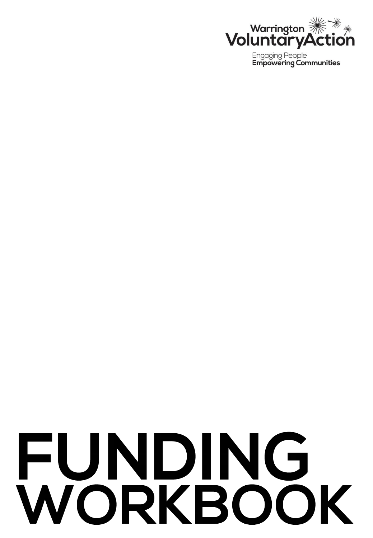

**Engaging People Empowering Communities** 

# FUNDING WORKBOOK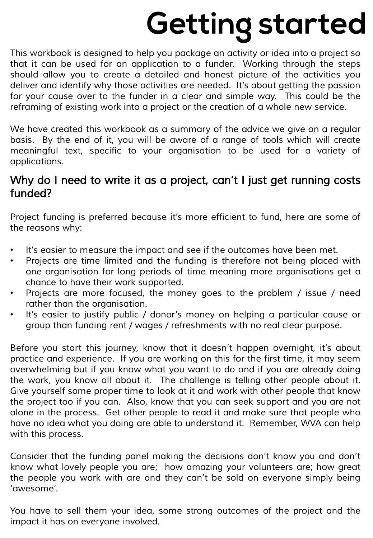## **Getting started**

*This workbook is designed to help you package an activity or idea into a project so that it can be used for an application to a funder. Working through the steps should allow you to create a detailed and honest picture of the activities you deliver and identify why those activities are needed. It's about getting the passion for your cause over to the funder in a clear and simple way. This could be the reframing of existing work into a project or the creation of a whole new service.*

*We have created this workbook as a summary of the advice we give on a regular basis. By the end of it, you will be aware of a range of tools which will create meaningful text, specific to your organisation to be used for a variety of applications.*

#### *Why do I need to write it as a project, can't I just get running costs funded?*

*Project funding is preferred because it's more efficient to fund, here are some of the reasons why:*

- *It's easier to measure the impact and see if the outcomes have been met.*
- *Projects are time limited and the funding is therefore not being placed with one organisation for long periods of time meaning more organisations get a chance to have their work supported.*
- *Projects are more focused, the money goes to the problem / issue / need rather than the organisation.*
- *It's easier to justify public / donor's money on helping a particular cause or group than funding rent / wages / refreshments with no real clear purpose.*

*Before you start this journey, know that it doesn't happen overnight, it's about practice and experience. If you are working on this for the first time, it may seem overwhelming but if you know what you want to do and if you are already doing the work, you know all about it. The challenge is telling other people about it. Give yourself some proper time to look at it and work with other people that know the project too if you can. Also, know that you can seek support and you are not alone in the process. Get other people to read it and make sure that people who have no idea what you doing are able to understand it. Remember, WVA can help with this process.*

*Consider that the funding panel making the decisions don't know you and don't know what lovely people you are; how amazing your volunteers are; how great the people you work with are and they can't be sold on everyone simply being 'awesome'.*

*You have to sell them your idea, some strong outcomes of the project and the impact it has on everyone involved.*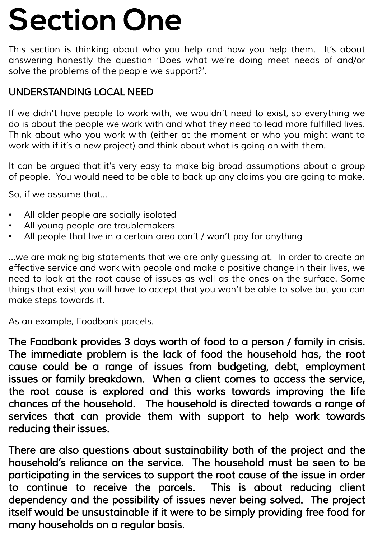### **Section One**

*This section is thinking about who you help and how you help them. It's about answering honestly the question 'Does what we're doing meet needs of and/or solve the problems of the people we support?'.*

#### *UNDERSTANDING LOCAL NEED*

*If we didn't have people to work with, we wouldn't need to exist, so everything we do is about the people we work with and what they need to lead more fulfilled lives. Think about who you work with (either at the moment or who you might want to work with if it's a new project) and think about what is going on with them.*

*It can be argued that it's very easy to make big broad assumptions about a group of people. You would need to be able to back up any claims you are going to make.*

*So, if we assume that…*

- *All older people are socially isolated*
- *All young people are troublemakers*
- *All people that live in a certain area can't / won't pay for anything*

*…we are making big statements that we are only guessing at. In order to create an effective service and work with people and make a positive change in their lives, we need to look at the root cause of issues as well as the ones on the surface. Some things that exist you will have to accept that you won't be able to solve but you can make steps towards it.*

*As an example, Foodbank parcels.*

*The Foodbank provides 3 days worth of food to a person / family in crisis. The immediate problem is the lack of food the household has, the root cause could be a range of issues from budgeting, debt, employment issues or family breakdown. When a client comes to access the service, the root cause is explored and this works towards improving the life chances of the household. The household is directed towards a range of services that can provide them with support to help work towards reducing their issues.*

*There are also questions about sustainability both of the project and the household's reliance on the service. The household must be seen to be participating in the services to support the root cause of the issue in order to continue to receive the parcels. This is about reducing client dependency and the possibility of issues never being solved. The project itself would be unsustainable if it were to be simply providing free food for many households on a regular basis.*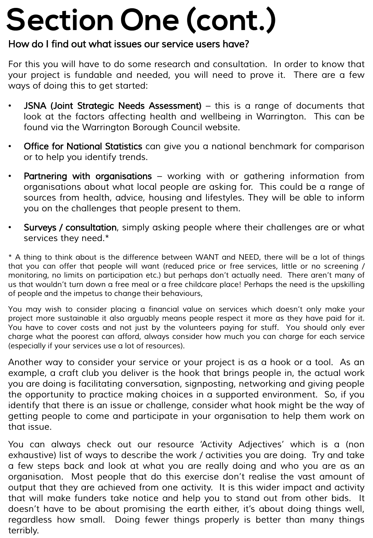### **Section One (cont.)**

#### *How do I find out what issues our service users have?*

*For this you will have to do some research and consultation. In order to know that your project is fundable and needed, you will need to prove it. There are a few ways of doing this to get started:*

- *JSNA (Joint Strategic Needs Assessment) – this is a range of documents that look at the factors affecting health and wellbeing in Warrington. This can be found via the Warrington Borough Council website.*
- *Office for National Statistics can give you a national benchmark for comparison or to help you identify trends.*
- *Partnering with organisations – working with or gathering information from organisations about what local people are asking for. This could be a range of sources from health, advice, housing and lifestyles. They will be able to inform you on the challenges that people present to them.*
- *Surveys / consultation, simply asking people where their challenges are or what services they need.\**

\* A thing to think about is the difference between WANT and NEED, there will be a lot of things *that you can offer that people will want (reduced price or free services, little or no screening / monitoring, no limits on participation etc.) but perhaps don't actually need. There aren't many of* us that wouldn't turn down a free meal or a free childcare place! Perhaps the need is the upskilling *of people and the impetus to change their behaviours,*

*You may wish to consider placing a financial value on services which doesn't only make your project more sustainable it also arguably means people respect it more as they have paid for it. You have to cover costs and not just by the volunteers paying for stuff. You should only ever charge what the poorest can afford, always consider how much you can charge for each service (especially if your services use a lot of resources).*

*Another way to consider your service or your project is as a hook or a tool. As an example, a craft club you deliver is the hook that brings people in, the actual work you are doing is facilitating conversation, signposting, networking and giving people the opportunity to practice making choices in a supported environment. So, if you identify that there is an issue or challenge, consider what hook might be the way of getting people to come and participate in your organisation to help them work on that issue.*

*You can always check out our resource 'Activity Adjectives' which is a (non exhaustive) list of ways to describe the work / activities you are doing. Try and take a few steps back and look at what you are really doing and who you are as an organisation. Most people that do this exercise don't realise the vast amount of output that they are achieved from one activity. It is this wider impact and activity that will make funders take notice and help you to stand out from other bids. It doesn't have to be about promising the earth either, it's about doing things well, regardless how small. Doing fewer things properly is better than many things terribly.*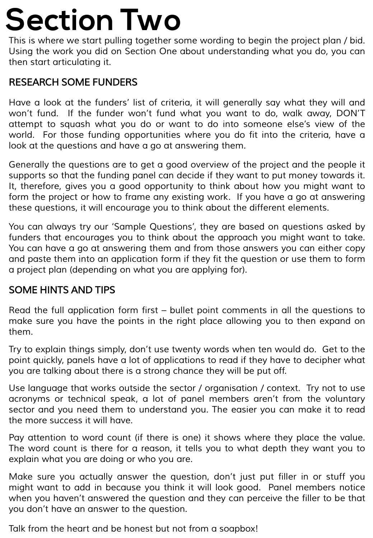### **Section Two**

*This is where we start pulling together some wording to begin the project plan / bid. Using the work you did on Section One about understanding what you do, you can then start articulating it.*

#### *RESEARCH SOME FUNDERS*

*Have a look at the funders' list of criteria, it will generally say what they will and won't fund. If the funder won't fund what you want to do, walk away, DON'T attempt to squash what you do or want to do into someone else's view of the world. For those funding opportunities where you do fit into the criteria, have a look at the questions and have a go at answering them.*

*Generally the questions are to get a good overview of the project and the people it supports so that the funding panel can decide if they want to put money towards it. It, therefore, gives you a good opportunity to think about how you might want to form the project or how to frame any existing work. If you have a go at answering these questions, it will encourage you to think about the different elements.*

*You can always try our 'Sample Questions', they are based on questions asked by funders that encourages you to think about the approach you might want to take. You can have a go at answering them and from those answers you can either copy and paste them into an application form if they fit the question or use them to form a project plan (depending on what you are applying for).*

#### *SOME HINTS AND TIPS*

*Read the full application form first – bullet point comments in all the questions to make sure you have the points in the right place allowing you to then expand on them.*

*Try to explain things simply, don't use twenty words when ten would do. Get to the point quickly, panels have a lot of applications to read if they have to decipher what you are talking about there is a strong chance they will be put off.*

*Use language that works outside the sector / organisation / context. Try not to use acronyms or technical speak, a lot of panel members aren't from the voluntary sector and you need them to understand you. The easier you can make it to read the more success it will have.*

*Pay attention to word count (if there is one) it shows where they place the value. The word count is there for a reason, it tells you to what depth they want you to explain what you are doing or who you are.*

*Make sure you actually answer the question, don't just put filler in or stuff you might want to add in because you think it will look good. Panel members notice when you haven't answered the question and they can perceive the filler to be that you don't have an answer to the question.*

*Talk from the heart and be honest but not from a soapbox!*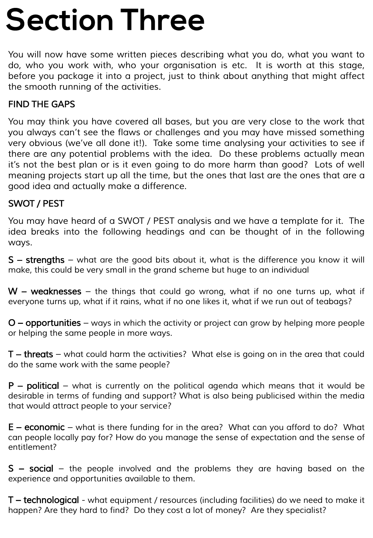### **Section Three**

*You will now have some written pieces describing what you do, what you want to do, who you work with, who your organisation is etc. It is worth at this stage, before you package it into a project, just to think about anything that might affect the smooth running of the activities.*

#### *FIND THE GAPS*

*You may think you have covered all bases, but you are very close to the work that you always can't see the flaws or challenges and you may have missed something very obvious (we've all done it!). Take some time analysing your activities to see if there are any potential problems with the idea. Do these problems actually mean it's not the best plan or is it even going to do more harm than good? Lots of well meaning projects start up all the time, but the ones that last are the ones that are a good idea and actually make a difference.*

#### *SWOT / PEST*

*You may have heard of a SWOT / PEST analysis and we have a template for it. The idea breaks into the following headings and can be thought of in the following ways.*

*S – strengths – what are the good bits about it, what is the difference you know it will make, this could be very small in the grand scheme but huge to an individual*

*W – weaknesses – the things that could go wrong, what if no one turns up, what if* everyone turns up, what if it rains, what if no one likes it, what if we run out of teabags?

*O – opportunities – ways in which the activity or project can grow by helping more people or helping the same people in more ways.*

*T – threats – what could harm the activities? What else is going on in the area that could do the same work with the same people?*

*P – political – what is currently on the political agenda which means that it would be desirable in terms of funding and support? What is also being publicised within the media that would attract people to your service?*

*E – economic – what is there funding for in the area? What can you afford to do? What can people locally pay for? How do you manage the sense of expectation and the sense of entitlement?*

*S – social – the people involved and the problems they are having based on the experience and opportunities available to them.*

*T – technological - what equipment / resources (including facilities) do we need to make it happen? Are they hard to find? Do they cost a lot of money? Are they specialist?*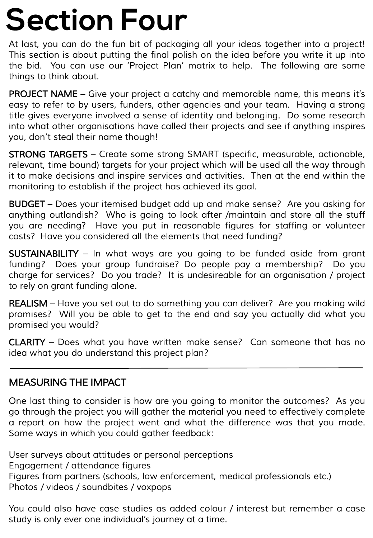### **Section Four**

*At last, you can do the fun bit of packaging all your ideas together into a project! This section is about putting the final polish on the idea before you write it up into the bid. You can use our 'Project Plan' matrix to help. The following are some things to think about.*

*PROJECT NAME – Give your project a catchy and memorable name, this means it's easy to refer to by users, funders, other agencies and your team. Having a strong title gives everyone involved a sense of identity and belonging. Do some research into what other organisations have called their projects and see if anything inspires you, don't steal their name though!*

*STRONG TARGETS – Create some strong SMART (specific, measurable, actionable, relevant, time bound) targets for your project which will be used all the way through it to make decisions and inspire services and activities. Then at the end within the monitoring to establish if the project has achieved its goal.*

*BUDGET – Does your itemised budget add up and make sense? Are you asking for anything outlandish? Who is going to look after /maintain and store all the stuff you are needing? Have you put in reasonable figures for staffing or volunteer costs? Have you considered all the elements that need funding?*

*SUSTAINABILITY – In what ways are you going to be funded aside from grant funding? Does your group fundraise? Do people pay a membership? Do you charge for services? Do you trade? It is undesireable for an organisation / project to rely on grant funding alone.*

*REALISM – Have you set out to do something you can deliver? Are you making wild promises? Will you be able to get to the end and say you actually did what you promised you would?*

*CLARITY – Does what you have written make sense? Can someone that has no idea what you do understand this project plan?*

#### *MEASURING THE IMPACT*

*One last thing to consider is how are you going to monitor the outcomes? As you go through the project you will gather the material you need to effectively complete a report on how the project went and what the difference was that you made. Some ways in which you could gather feedback:*

*User surveys about attitudes or personal perceptions Engagement / attendance figures Figures from partners (schools, law enforcement, medical professionals etc.) Photos / videos / soundbites / voxpops*

*You could also have case studies as added colour / interest but remember a case study is only ever one individual's journey at a time.*